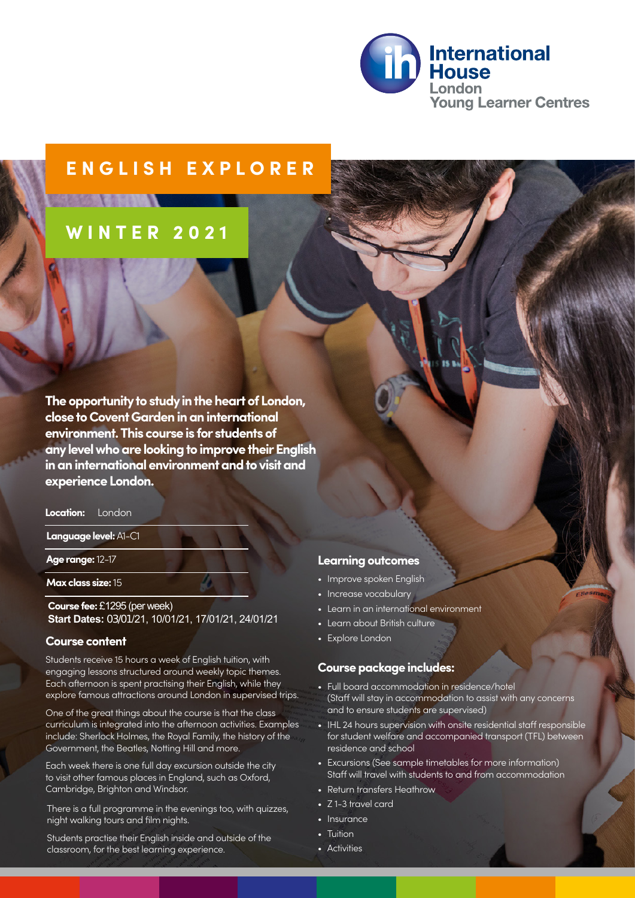

## **ENGLISH EXPLORER**

# **WINTER 202 1**

**The opportunity to study in the heart of London, close to Covent Garden in an international environment. This course is for students of any level who are looking to improve their English in an international environment and to visit and experience London.** 

#### **Location:** London

**Language level:** A1-C1

#### **Age range:** 12-17

**Max class size:** 15

**Course fee:** £1295 (per week) **Start Dates:** 03/01/21, 10/01/21, 17/01/21, 24/01/21

#### **Course content**

Students receive 15 hours a week of English tuition, with engaging lessons structured around weekly topic themes. Each afternoon is spent practising their English, while they explore famous attractions around London in supervised trips.

One of the great things about the course is that the class curriculum is integrated into the afternoon activities. Examples include: Sherlock Holmes, the Royal Family, the history of the Government, the Beatles, Notting Hill and more.

Each week there is one full day excursion outside the city to visit other famous places in England, such as Oxford, Cambridge, Brighton and Windsor.

There is a full programme in the evenings too, with quizzes, night walking tours and film nights.

Students practise their English inside and outside of the classroom, for the best learning experience.

#### **Learning outcomes**

- Improve spoken English
- Increase vocabulary
- Learn in an international environment
- Learn about British culture
- Explore London

#### **Course package includes:**

- Full board accommodation in residence/hotel (Staff will stay in accommodation to assist with any concerns and to ensure students are supervised)
- IHL 24 hours supervision with onsite residential staff responsible for student welfare and accompanied transport (TFL) between residence and school
- Excursions (See sample timetables for more information) Staff will travel with students to and from accommodation
- Return transfers Heathrow
- Z 1-3 travel card
- Insurance
- Tuition
- Activities